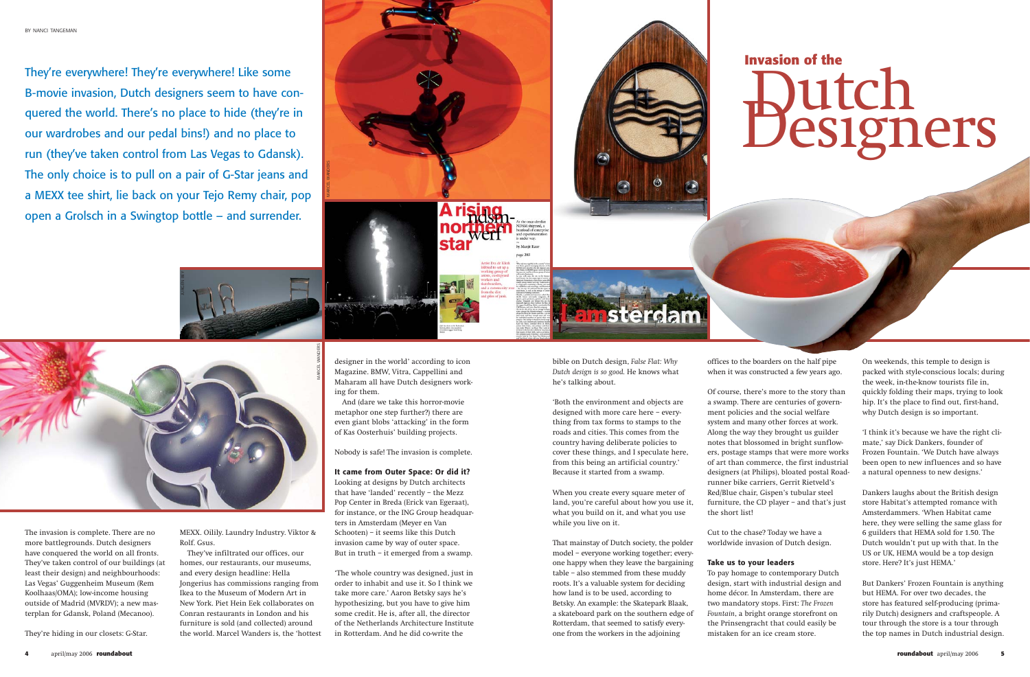designer in the world' according to icon Magazine. BMW, Vitra, Cappellini and Maharam all have Dutch designers working for them.

And (dare we take this horror-movie metaphor one step further?) there are even giant blobs 'attacking' in the form of Kas Oosterhuis' building projects.

Nobody is safe! The invasion is complete.

**It came from Outer Space: Or did it?** Looking at designs by Dutch architects that have 'landed' recently – the Mezz Pop Center in Breda (Erick van Egeraat), for instance, or the ING Group headquarters in Amsterdam (Meyer en Van Schooten) – it seems like this Dutch invasion came by way of outer space. But in truth – it emerged from a swamp.

'The whole country was designed, just in order to inhabit and use it. So I think we take more care.' Aaron Betsky says he's hypothesizing, but you have to give him some credit. He is, after all, the director of the Netherlands Architecture Institute in Rotterdam. And he did co-write the

MEXX. Oilily. Laundry Industry. Viktor & Rolf. Gsus.

They've infiltrated our offices, our homes, our restaurants, our museums, and every design headline: Hella Jongerius has commissions ranging from Ikea to the Museum of Modern Art in New York. Piet Hein Eek collaborates on Conran restaurants in London and his furniture is sold (and collected) around the world. Marcel Wanders is, the 'hottest

The invasion is complete. There are no more battlegrounds. Dutch designers have conquered the world on all fronts. They've taken control of our buildings (at least their design) and neighbourhoods: Las Vegas' Guggenheim Museum (Rem Koolhaas/OMA); low-income housing outside of Madrid (MVRDV); a new masterplan for Gdansk, Poland (Mecanoo).

They're hiding in our closets: G-Star.

bible on Dutch design, *False Flat: Why Dutch design is so good.* He knows what he's talking about.

 $\widehat{\mathbb{Z}}$ 

'Both the environment and objects are designed with more care here – everything from tax forms to stamps to the roads and cities. This comes from the country having deliberate policies to cover these things, and I speculate here, from this being an artificial country.' Because it started from a swamp.

When you create every square meter of land, you're careful about how you use it, what you build on it, and what you use while you live on it.

That mainstay of Dutch society, the polder model – everyone working together; everyone happy when they leave the bargaining table – also stemmed from these muddy roots. It's a valuable system for deciding how land is to be used, according to Betsky. An example: the Skatepark Blaak, a skateboard park on the southern edge of Rotterdam, that seemed to satisfy everyone from the workers in the adjoining

offices to the boarders on the half pipe when it was constructed a few years ago.

Of course, there's more to the story than a swamp. There are centuries of government policies and the social welfare system and many other forces at work. Along the way they brought us guilder notes that blossomed in bright sunflowers, postage stamps that were more works of art than commerce, the first industrial designers (at Philips), bloated postal Roadrunner bike carriers, Gerrit Rietveld's Red/Blue chair, Gispen's tubular steel furniture, the CD player – and that's just the short list!

Cut to the chase? Today we have a worldwide invasion of Dutch design.

### **Take us to your leaders**

To pay homage to contemporary Dutch design, start with industrial design and home décor. In Amsterdam, there are two mandatory stops. First: *The Frozen Fountain*, a bright orange storefront on the Prinsengracht that could easily be mistaken for an ice cream store.

On weekends, this temple to design is packed with style-conscious locals; during the week, in-the-know tourists file in, quickly folding their maps, trying to look hip. It's the place to find out, first-hand, why Dutch design is so important.

'I think it's because we have the right climate,' say Dick Dankers, founder of Frozen Fountain. 'We Dutch have always been open to new influences and so have a natural openness to new designs.'

Dankers laughs about the British design store Habitat's attempted romance with Amsterdammers. 'When Habitat came here, they were selling the same glass for 6 guilders that HEMA sold for 1.50. The Dutch wouldn't put up with that. In the US or UK, HEMA would be a top design store. Here? It's just HEMA.'

But Dankers' Frozen Fountain is anything but HEMA. For over two decades, the store has featured self-producing (primarily Dutch) designers and craftspeople. A tour through the store is a tour through the top names in Dutch industrial design.

marcel wanders



They're everywhere! They're everywhere! Like some B-movie invasion, Dutch designers seem to have conquered the world. There's no place to hide (they're in our wardrobes and our pedal bins!) and no place to run (they've taken control from Las Vegas to Gdansk). The only choice is to pull on a pair of G-Star jeans and a MEXX tee shirt, lie back on your Tejo Remy chair, pop open a Grolsch in a Swingtop bottle – and surrender.





# <sup>D</sup>utch <sup>D</sup>esıgners **Invasion of the**